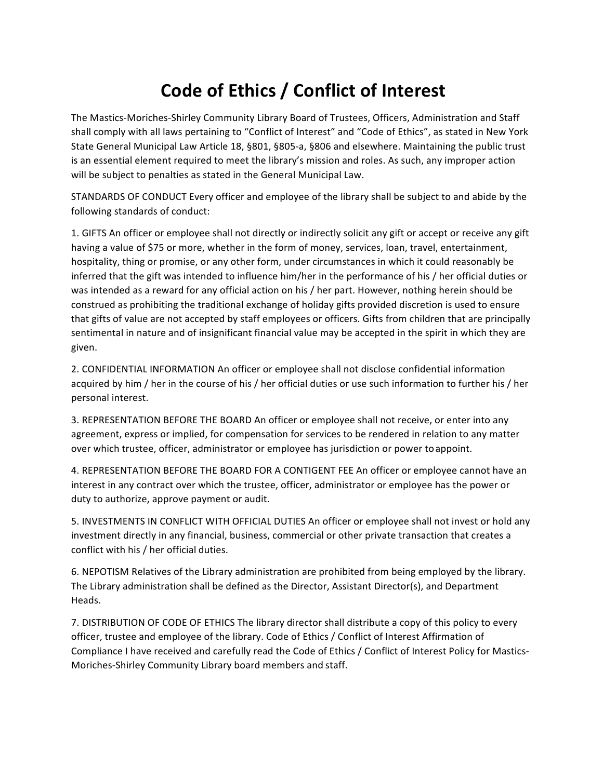## Code of Ethics / Conflict of Interest

The Mastics-Moriches-Shirley Community Library Board of Trustees, Officers, Administration and Staff shall comply with all laws pertaining to "Conflict of Interest" and "Code of Ethics", as stated in New York State General Municipal Law Article 18, §801, §805-a, §806 and elsewhere. Maintaining the public trust is an essential element required to meet the library's mission and roles. As such, any improper action will be subject to penalties as stated in the General Municipal Law.

STANDARDS OF CONDUCT Every officer and employee of the library shall be subject to and abide by the following standards of conduct:

1. GIFTS An officer or employee shall not directly or indirectly solicit any gift or accept or receive any gift having a value of \$75 or more, whether in the form of money, services, loan, travel, entertainment, hospitality, thing or promise, or any other form, under circumstances in which it could reasonably be inferred that the gift was intended to influence him/her in the performance of his / her official duties or was intended as a reward for any official action on his / her part. However, nothing herein should be construed as prohibiting the traditional exchange of holiday gifts provided discretion is used to ensure that gifts of value are not accepted by staff employees or officers. Gifts from children that are principally sentimental in nature and of insignificant financial value may be accepted in the spirit in which they are given.

2. CONFIDENTIAL INFORMATION An officer or employee shall not disclose confidential information acquired by him / her in the course of his / her official duties or use such information to further his / her personal interest.

3. REPRESENTATION BEFORE THE BOARD An officer or employee shall not receive, or enter into any agreement, express or implied, for compensation for services to be rendered in relation to any matter over which trustee, officer, administrator or employee has jurisdiction or power to appoint.

4. REPRESENTATION BEFORE THE BOARD FOR A CONTIGENT FEE An officer or employee cannot have an interest in any contract over which the trustee, officer, administrator or employee has the power or duty to authorize, approve payment or audit.

5. INVESTMENTS IN CONFLICT WITH OFFICIAL DUTIES An officer or employee shall not invest or hold any investment directly in any financial, business, commercial or other private transaction that creates a conflict with his / her official duties.

6. NEPOTISM Relatives of the Library administration are prohibited from being employed by the library. The Library administration shall be defined as the Director, Assistant Director(s), and Department Heads.

7. DISTRIBUTION OF CODE OF ETHICS The library director shall distribute a copy of this policy to every officer, trustee and employee of the library. Code of Ethics / Conflict of Interest Affirmation of Compliance I have received and carefully read the Code of Ethics / Conflict of Interest Policy for Mastics-Moriches-Shirley Community Library board members and staff.